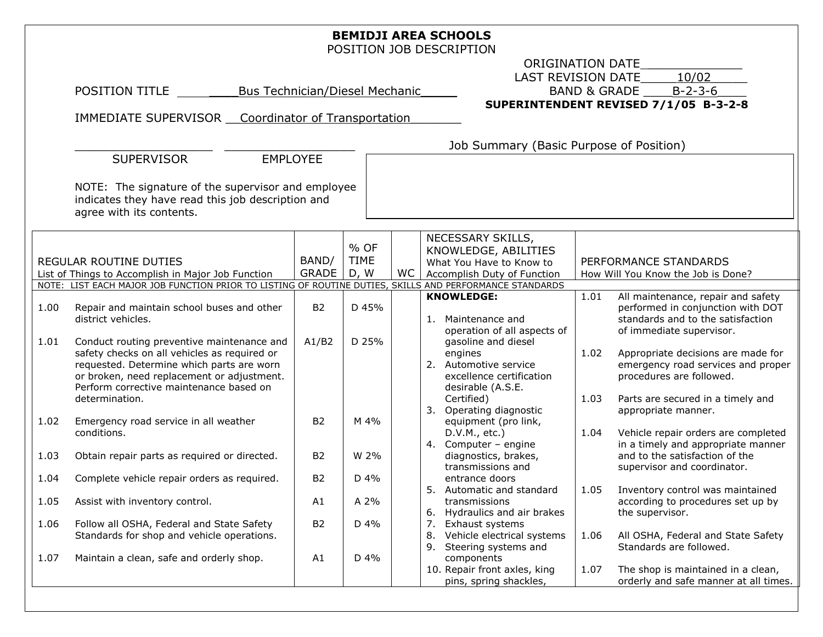| <b>BEMIDJI AREA SCHOOLS</b><br>POSITION JOB DESCRIPTION                                                                             |                                                                                                                                                                                                                                                    |                                            |                   |  |                                                                                                                        |                                    |                 |                                                                                                                                           |  |
|-------------------------------------------------------------------------------------------------------------------------------------|----------------------------------------------------------------------------------------------------------------------------------------------------------------------------------------------------------------------------------------------------|--------------------------------------------|-------------------|--|------------------------------------------------------------------------------------------------------------------------|------------------------------------|-----------------|-------------------------------------------------------------------------------------------------------------------------------------------|--|
|                                                                                                                                     | ORIGINATION DATE                                                                                                                                                                                                                                   |                                            |                   |  |                                                                                                                        |                                    |                 |                                                                                                                                           |  |
|                                                                                                                                     |                                                                                                                                                                                                                                                    | 10/02<br>LAST REVISION DATE                |                   |  |                                                                                                                        |                                    |                 |                                                                                                                                           |  |
|                                                                                                                                     | POSITION TITLE<br><b>Bus Technician/Diesel Mechanic</b>                                                                                                                                                                                            | <b>BAND &amp; GRADE</b><br>$B - 2 - 3 - 6$ |                   |  |                                                                                                                        |                                    |                 |                                                                                                                                           |  |
|                                                                                                                                     | SUPERINTENDENT REVISED 7/1/05 B-3-2-8                                                                                                                                                                                                              |                                            |                   |  |                                                                                                                        |                                    |                 |                                                                                                                                           |  |
|                                                                                                                                     | IMMEDIATE SUPERVISOR Coordinator of Transportation                                                                                                                                                                                                 |                                            |                   |  |                                                                                                                        |                                    |                 |                                                                                                                                           |  |
|                                                                                                                                     |                                                                                                                                                                                                                                                    |                                            |                   |  |                                                                                                                        |                                    |                 |                                                                                                                                           |  |
|                                                                                                                                     | Job Summary (Basic Purpose of Position)<br><b>SUPERVISOR</b><br><b>EMPLOYEE</b>                                                                                                                                                                    |                                            |                   |  |                                                                                                                        |                                    |                 |                                                                                                                                           |  |
|                                                                                                                                     |                                                                                                                                                                                                                                                    |                                            |                   |  |                                                                                                                        |                                    |                 |                                                                                                                                           |  |
| NOTE: The signature of the supervisor and employee<br>indicates they have read this job description and<br>agree with its contents. |                                                                                                                                                                                                                                                    |                                            |                   |  |                                                                                                                        |                                    |                 |                                                                                                                                           |  |
|                                                                                                                                     |                                                                                                                                                                                                                                                    |                                            |                   |  | NECESSARY SKILLS,                                                                                                      |                                    |                 |                                                                                                                                           |  |
|                                                                                                                                     |                                                                                                                                                                                                                                                    |                                            | % OF              |  | KNOWLEDGE, ABILITIES                                                                                                   |                                    |                 |                                                                                                                                           |  |
|                                                                                                                                     | REGULAR ROUTINE DUTIES                                                                                                                                                                                                                             | BAND/                                      | <b>TIME</b>       |  | What You Have to Know to                                                                                               |                                    |                 | PERFORMANCE STANDARDS                                                                                                                     |  |
| List of Things to Accomplish in Major Job Function                                                                                  |                                                                                                                                                                                                                                                    | GRADE                                      | <b>WC</b><br>D, W |  | Accomplish Duty of Function                                                                                            | How Will You Know the Job is Done? |                 |                                                                                                                                           |  |
| NOTE: LIST EACH MAJOR JOB FUNCTION PRIOR TO LISTING OF ROUTINE DUTIES, SKILLS AND PERFORMANCE STANDARDS                             |                                                                                                                                                                                                                                                    |                                            |                   |  |                                                                                                                        |                                    |                 |                                                                                                                                           |  |
| 1.00                                                                                                                                | Repair and maintain school buses and other<br>district vehicles.                                                                                                                                                                                   | <b>B2</b>                                  | D 45%             |  | <b>KNOWLEDGE:</b><br>1. Maintenance and<br>operation of all aspects of                                                 | 1.01                               |                 | All maintenance, repair and safety<br>performed in conjunction with DOT<br>standards and to the satisfaction<br>of immediate supervisor.  |  |
| 1.01                                                                                                                                | Conduct routing preventive maintenance and<br>safety checks on all vehicles as required or<br>requested. Determine which parts are worn<br>or broken, need replacement or adjustment.<br>Perform corrective maintenance based on<br>determination. | A1/B2                                      | D 25%             |  | gasoline and diesel<br>engines<br>2. Automotive service<br>excellence certification<br>desirable (A.S.E.<br>Certified) | 1.02<br>1.03                       |                 | Appropriate decisions are made for<br>emergency road services and proper<br>procedures are followed.<br>Parts are secured in a timely and |  |
| 1.02                                                                                                                                | Emergency road service in all weather<br>conditions.                                                                                                                                                                                               | <b>B2</b>                                  | M 4%              |  | 3. Operating diagnostic<br>equipment (pro link,<br>D.V.M., etc.)                                                       | 1.04                               |                 | appropriate manner.<br>Vehicle repair orders are completed                                                                                |  |
| 1.03                                                                                                                                | Obtain repair parts as required or directed.                                                                                                                                                                                                       | <b>B2</b>                                  | W 2%              |  | 4. Computer - engine<br>diagnostics, brakes,<br>transmissions and                                                      |                                    |                 | in a timely and appropriate manner<br>and to the satisfaction of the<br>supervisor and coordinator.                                       |  |
| 1.04                                                                                                                                | Complete vehicle repair orders as required.                                                                                                                                                                                                        | <b>B2</b>                                  | D 4%              |  | entrance doors                                                                                                         |                                    |                 |                                                                                                                                           |  |
| 1.05                                                                                                                                | Assist with inventory control.                                                                                                                                                                                                                     | A1                                         | A 2%              |  | 5. Automatic and standard<br>transmissions<br>6. Hydraulics and air brakes                                             |                                    | the supervisor. | 1.05 Inventory control was maintained<br>according to procedures set up by                                                                |  |
| 1.06                                                                                                                                | Follow all OSHA, Federal and State Safety<br>Standards for shop and vehicle operations.                                                                                                                                                            | <b>B2</b>                                  | D 4%              |  | 7.<br>Exhaust systems<br>8. Vehicle electrical systems<br>9. Steering systems and                                      | 1.06                               |                 | All OSHA, Federal and State Safety<br>Standards are followed.                                                                             |  |
| 1.07                                                                                                                                | Maintain a clean, safe and orderly shop.                                                                                                                                                                                                           | A1                                         | D 4%              |  | components<br>10. Repair front axles, king<br>pins, spring shackles,                                                   | 1.07                               |                 | The shop is maintained in a clean,<br>orderly and safe manner at all times.                                                               |  |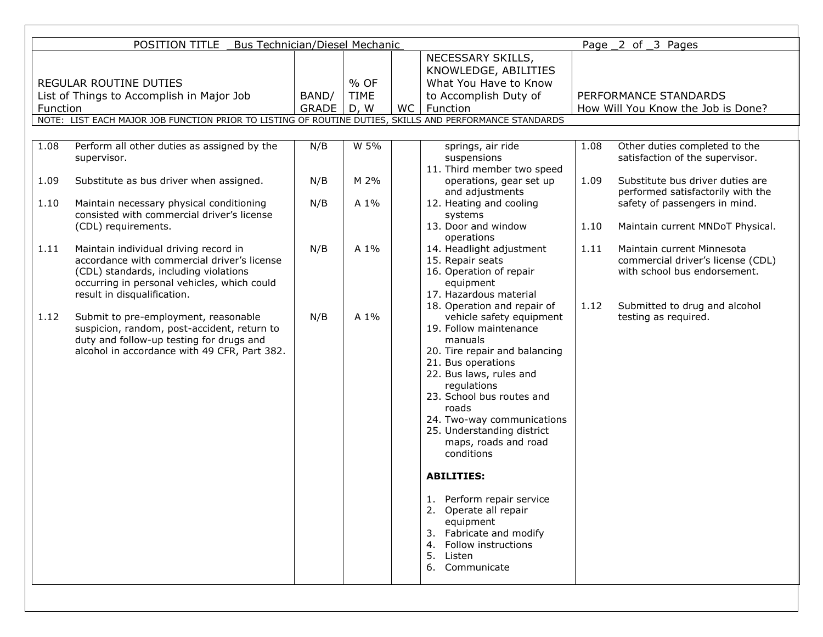| POSITION TITLE<br><b>Bus Technician/Diesel Mechanic</b><br>Page 2 of 3 Pages                            |                                                                                      |       |             |           |                                                |                                    |                                                                   |
|---------------------------------------------------------------------------------------------------------|--------------------------------------------------------------------------------------|-------|-------------|-----------|------------------------------------------------|------------------------------------|-------------------------------------------------------------------|
|                                                                                                         |                                                                                      |       |             |           | NECESSARY SKILLS,                              |                                    |                                                                   |
|                                                                                                         |                                                                                      |       |             |           | KNOWLEDGE, ABILITIES                           |                                    |                                                                   |
| <b>REGULAR ROUTINE DUTIES</b>                                                                           |                                                                                      |       | % OF        |           | What You Have to Know                          |                                    |                                                                   |
|                                                                                                         | List of Things to Accomplish in Major Job                                            | BAND/ | <b>TIME</b> |           | to Accomplish Duty of<br>PERFORMANCE STANDARDS |                                    |                                                                   |
| Function                                                                                                |                                                                                      | GRADE | D, W        | <b>WC</b> | Function                                       | How Will You Know the Job is Done? |                                                                   |
| NOTE: LIST EACH MAJOR JOB FUNCTION PRIOR TO LISTING OF ROUTINE DUTIES, SKILLS AND PERFORMANCE STANDARDS |                                                                                      |       |             |           |                                                |                                    |                                                                   |
|                                                                                                         |                                                                                      |       |             |           |                                                |                                    |                                                                   |
| 1.08                                                                                                    | Perform all other duties as assigned by the                                          | N/B   | W 5%        |           | springs, air ride                              | 1.08                               | Other duties completed to the                                     |
|                                                                                                         | supervisor.                                                                          |       |             |           | suspensions<br>11. Third member two speed      |                                    | satisfaction of the supervisor.                                   |
| 1.09                                                                                                    | Substitute as bus driver when assigned.                                              | N/B   | M 2%        |           | operations, gear set up                        | 1.09                               | Substitute bus driver duties are                                  |
|                                                                                                         |                                                                                      |       |             |           | and adjustments                                |                                    | performed satisfactorily with the                                 |
| 1.10                                                                                                    | Maintain necessary physical conditioning                                             | N/B   | A 1%        |           | 12. Heating and cooling                        |                                    | safety of passengers in mind.                                     |
|                                                                                                         | consisted with commercial driver's license                                           |       |             |           | systems                                        |                                    |                                                                   |
|                                                                                                         | (CDL) requirements.                                                                  |       |             |           | 13. Door and window                            | 1.10                               | Maintain current MNDoT Physical.                                  |
|                                                                                                         |                                                                                      |       |             |           | operations                                     |                                    |                                                                   |
| 1.11                                                                                                    | Maintain individual driving record in                                                | N/B   | A 1%        |           | 14. Headlight adjustment                       | 1.11                               | Maintain current Minnesota                                        |
|                                                                                                         | accordance with commercial driver's license<br>(CDL) standards, including violations |       |             |           | 15. Repair seats<br>16. Operation of repair    |                                    | commercial driver's license (CDL)<br>with school bus endorsement. |
|                                                                                                         | occurring in personal vehicles, which could                                          |       |             |           | equipment                                      |                                    |                                                                   |
|                                                                                                         | result in disqualification.                                                          |       |             |           | 17. Hazardous material                         |                                    |                                                                   |
|                                                                                                         |                                                                                      |       |             |           | 18. Operation and repair of                    | 1.12                               | Submitted to drug and alcohol                                     |
| 1.12                                                                                                    | Submit to pre-employment, reasonable                                                 | N/B   | A 1%        |           | vehicle safety equipment                       |                                    | testing as required.                                              |
|                                                                                                         | suspicion, random, post-accident, return to                                          |       |             |           | 19. Follow maintenance                         |                                    |                                                                   |
|                                                                                                         | duty and follow-up testing for drugs and                                             |       |             |           | manuals                                        |                                    |                                                                   |
|                                                                                                         | alcohol in accordance with 49 CFR, Part 382.                                         |       |             |           | 20. Tire repair and balancing                  |                                    |                                                                   |
|                                                                                                         |                                                                                      |       |             |           | 21. Bus operations                             |                                    |                                                                   |
|                                                                                                         |                                                                                      |       |             |           | 22. Bus laws, rules and<br>regulations         |                                    |                                                                   |
|                                                                                                         |                                                                                      |       |             |           | 23. School bus routes and                      |                                    |                                                                   |
|                                                                                                         |                                                                                      |       |             |           | roads                                          |                                    |                                                                   |
|                                                                                                         |                                                                                      |       |             |           | 24. Two-way communications                     |                                    |                                                                   |
|                                                                                                         |                                                                                      |       |             |           | 25. Understanding district                     |                                    |                                                                   |
|                                                                                                         |                                                                                      |       |             |           | maps, roads and road                           |                                    |                                                                   |
|                                                                                                         |                                                                                      |       |             |           | conditions                                     |                                    |                                                                   |
|                                                                                                         |                                                                                      |       |             |           | <b>ABILITIES:</b>                              |                                    |                                                                   |
|                                                                                                         |                                                                                      |       |             |           |                                                |                                    |                                                                   |
|                                                                                                         |                                                                                      |       |             |           | Perform repair service<br>ı.                   |                                    |                                                                   |
|                                                                                                         |                                                                                      |       |             |           | 2. Operate all repair                          |                                    |                                                                   |
|                                                                                                         |                                                                                      |       |             |           | equipment                                      |                                    |                                                                   |
|                                                                                                         |                                                                                      |       |             |           | 3. Fabricate and modify                        |                                    |                                                                   |
|                                                                                                         |                                                                                      |       |             |           | 4. Follow instructions<br>5.<br>Listen         |                                    |                                                                   |
|                                                                                                         |                                                                                      |       |             |           | 6. Communicate                                 |                                    |                                                                   |
|                                                                                                         |                                                                                      |       |             |           |                                                |                                    |                                                                   |
|                                                                                                         |                                                                                      |       |             |           |                                                |                                    |                                                                   |